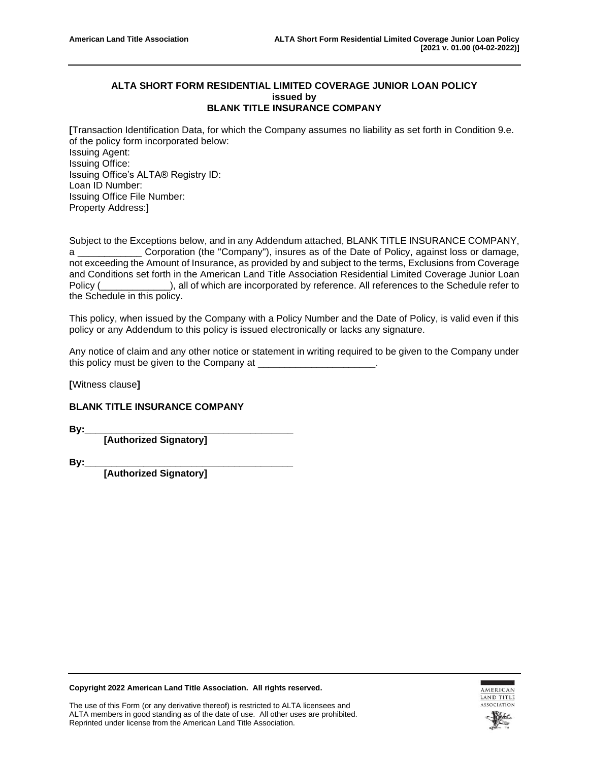## **ALTA SHORT FORM RESIDENTIAL LIMITED COVERAGE JUNIOR LOAN POLICY issued by BLANK TITLE INSURANCE COMPANY**

**[**Transaction Identification Data, for which the Company assumes no liability as set forth in Condition 9.e. of the policy form incorporated below: Issuing Agent: Issuing Office: Issuing Office's ALTA® Registry ID: Loan ID Number: Issuing Office File Number: Property Address:]

Subject to the Exceptions below, and in any Addendum attached, BLANK TITLE INSURANCE COMPANY, a \_\_\_\_\_\_\_\_\_\_\_\_ Corporation (the "Company"), insures as of the Date of Policy, against loss or damage, not exceeding the Amount of Insurance, as provided by and subject to the terms, Exclusions from Coverage and Conditions set forth in the American Land Title Association Residential Limited Coverage Junior Loan Policy (\_\_\_\_\_\_\_\_\_\_\_\_\_), all of which are incorporated by reference. All references to the Schedule refer to the Schedule in this policy.

This policy, when issued by the Company with a Policy Number and the Date of Policy, is valid even if this policy or any Addendum to this policy is issued electronically or lacks any signature.

Any notice of claim and any other notice or statement in writing required to be given to the Company under this policy must be given to the Company at

**[**Witness clause**]**

## **BLANK TITLE INSURANCE COMPANY**

**By:\_\_\_\_\_\_\_\_\_\_\_\_\_\_\_\_\_\_\_\_\_\_\_\_\_\_\_\_\_\_\_\_\_\_\_\_\_\_\_**

**[Authorized Signatory]**

**By:\_\_\_\_\_\_\_\_\_\_\_\_\_\_\_\_\_\_\_\_\_\_\_\_\_\_\_\_\_\_\_\_\_\_\_\_\_\_\_**

**[Authorized Signatory]**

**Copyright 2022 American Land Title Association. All rights reserved.**



The use of this Form (or any derivative thereof) is restricted to ALTA licensees and ALTA members in good standing as of the date of use. All other uses are prohibited. Reprinted under license from the American Land Title Association.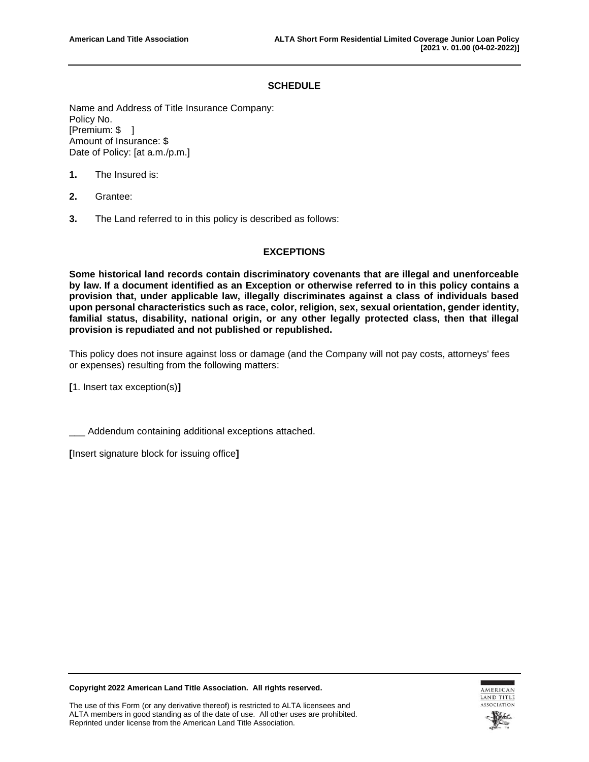#### **SCHEDULE**

Name and Address of Title Insurance Company: Policy No. [Premium: \$ ] Amount of Insurance: \$ Date of Policy: [at a.m./p.m.]

- **1.** The Insured is:
- **2.** Grantee:
- **3.** The Land referred to in this policy is described as follows:

#### **EXCEPTIONS**

**Some historical land records contain discriminatory covenants that are illegal and unenforceable by law. If a document identified as an Exception or otherwise referred to in this policy contains a provision that, under applicable law, illegally discriminates against a class of individuals based upon personal characteristics such as race, color, religion, sex, sexual orientation, gender identity, familial status, disability, national origin, or any other legally protected class, then that illegal provision is repudiated and not published or republished.**

This policy does not insure against loss or damage (and the Company will not pay costs, attorneys' fees or expenses) resulting from the following matters:

**[**1. Insert tax exception(s)**]**

Addendum containing additional exceptions attached.

**[**Insert signature block for issuing office**]**



**Copyright 2022 American Land Title Association. All rights reserved.**

The use of this Form (or any derivative thereof) is restricted to ALTA licensees and ALTA members in good standing as of the date of use. All other uses are prohibited. Reprinted under license from the American Land Title Association.